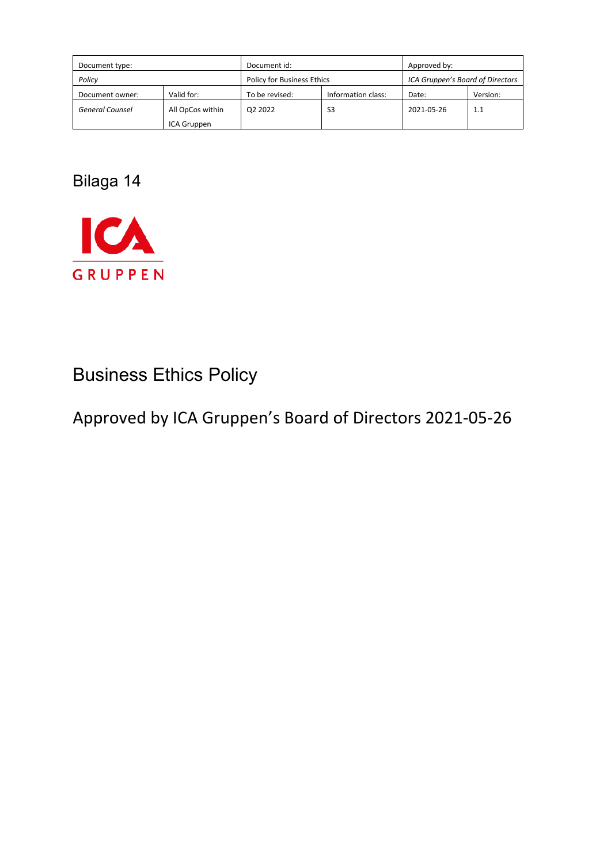| Document type:         |                  | Document id:               |                    | Approved by:                     |          |
|------------------------|------------------|----------------------------|--------------------|----------------------------------|----------|
| Policy                 |                  | Policy for Business Ethics |                    | ICA Gruppen's Board of Directors |          |
| Document owner:        | Valid for:       | To be revised:             | Information class: | Date:                            | Version: |
| <b>General Counsel</b> | All OpCos within | Q2 2022                    | S <sub>3</sub>     | 2021-05-26                       | 1.1      |
|                        | ICA Gruppen      |                            |                    |                                  |          |

Bilaga 14



# Business Ethics Policy

Approved by ICA Gruppen's Board of Directors 2021-05-26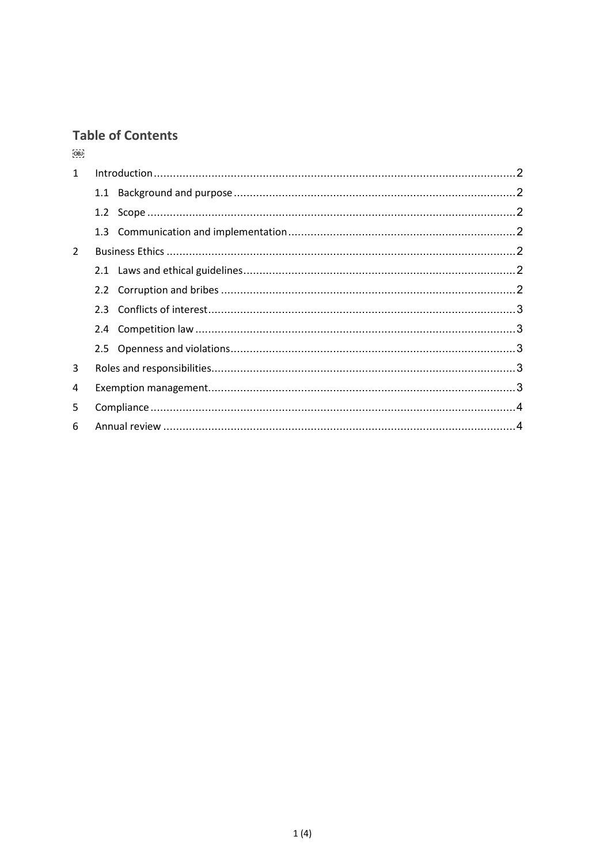# **Table of Contents**

 $[0, 0]$ 

| $\mathbf{1}$   |  |  |  |
|----------------|--|--|--|
|                |  |  |  |
|                |  |  |  |
|                |  |  |  |
| $\mathfrak{D}$ |  |  |  |
|                |  |  |  |
|                |  |  |  |
|                |  |  |  |
|                |  |  |  |
|                |  |  |  |
| 3              |  |  |  |
| 4              |  |  |  |
| 5              |  |  |  |
| 6              |  |  |  |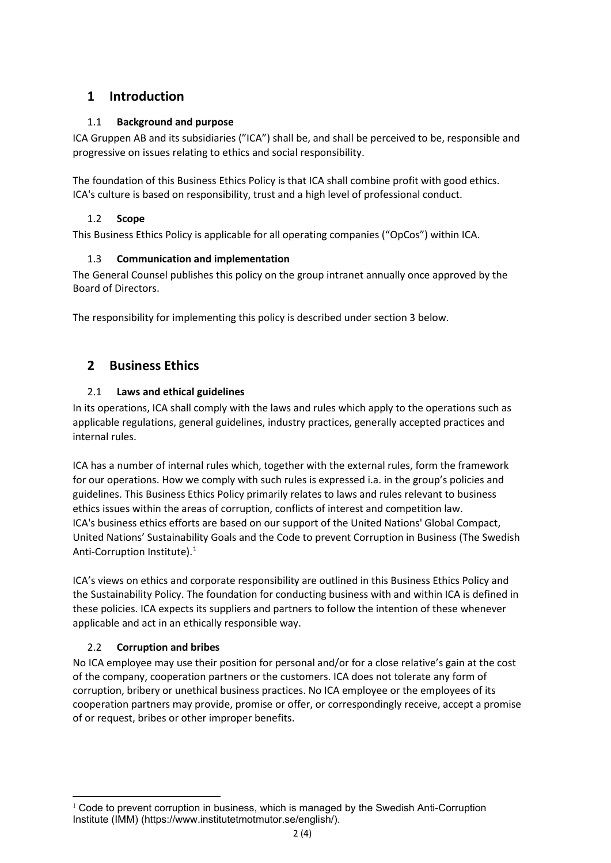# <span id="page-2-0"></span>**1 Introduction**

## <span id="page-2-1"></span>1.1 **Background and purpose**

ICA Gruppen AB and its subsidiaries ("ICA") shall be, and shall be perceived to be, responsible and progressive on issues relating to ethics and social responsibility.

The foundation of this Business Ethics Policy is that ICA shall combine profit with good ethics. ICA's culture is based on responsibility, trust and a high level of professional conduct.

## <span id="page-2-2"></span>1.2 **Scope**

<span id="page-2-3"></span>This Business Ethics Policy is applicable for all operating companies ("OpCos") within ICA.

#### 1.3 **Communication and implementation**

The General Counsel publishes this policy on the group intranet annually once approved by the Board of Directors.

The responsibility for implementing this policy is described under section 3 below.

## <span id="page-2-4"></span>**2 Business Ethics**

#### <span id="page-2-5"></span>2.1 **Laws and ethical guidelines**

In its operations, ICA shall comply with the laws and rules which apply to the operations such as applicable regulations, general guidelines, industry practices, generally accepted practices and internal rules.

ICA has a number of internal rules which, together with the external rules, form the framework for our operations. How we comply with such rules is expressed i.a. in the group's policies and guidelines. This Business Ethics Policy primarily relates to laws and rules relevant to business ethics issues within the areas of corruption, conflicts of interest and competition law. ICA's business ethics efforts are based on our support of the United Nations' Global Compact, United Nations' Sustainability Goals and the Code to prevent Corruption in Business (The Swedish Anti-Corruption Institute).<sup>[1](#page-2-7)</sup>

ICA's views on ethics and corporate responsibility are outlined in this Business Ethics Policy and the Sustainability Policy. The foundation for conducting business with and within ICA is defined in these policies. ICA expects its suppliers and partners to follow the intention of these whenever applicable and act in an ethically responsible way.

#### <span id="page-2-6"></span>2.2 **Corruption and bribes**

No ICA employee may use their position for personal and/or for a close relative's gain at the cost of the company, cooperation partners or the customers. ICA does not tolerate any form of corruption, bribery or unethical business practices. No ICA employee or the employees of its cooperation partners may provide, promise or offer, or correspondingly receive, accept a promise of or request, bribes or other improper benefits.

<span id="page-2-7"></span> $1$  Code to prevent corruption in business, which is managed by the Swedish Anti-Corruption Institute (IMM) (https://www.institutetmotmutor.se/english/).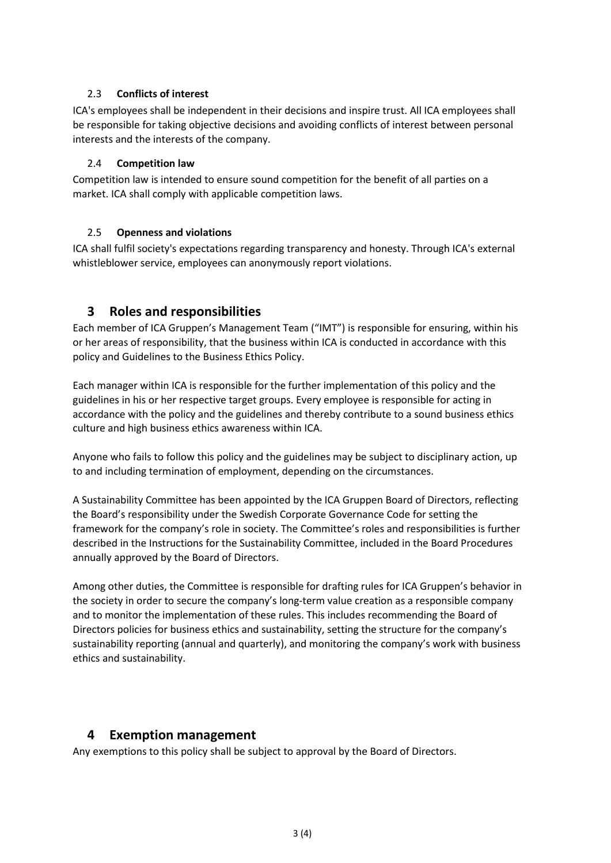#### <span id="page-3-0"></span>2.3 **Conflicts of interest**

ICA's employees shall be independent in their decisions and inspire trust. All ICA employees shall be responsible for taking objective decisions and avoiding conflicts of interest between personal interests and the interests of the company.

#### <span id="page-3-1"></span>2.4 **Competition law**

Competition law is intended to ensure sound competition for the benefit of all parties on a market. ICA shall comply with applicable competition laws.

#### <span id="page-3-2"></span>2.5 **Openness and violations**

ICA shall fulfil society's expectations regarding transparency and honesty. Through ICA's external whistleblower service, employees can anonymously report violations.

## <span id="page-3-3"></span>**3 Roles and responsibilities**

Each member of ICA Gruppen's Management Team ("IMT") is responsible for ensuring, within his or her areas of responsibility, that the business within ICA is conducted in accordance with this policy and Guidelines to the Business Ethics Policy.

Each manager within ICA is responsible for the further implementation of this policy and the guidelines in his or her respective target groups. Every employee is responsible for acting in accordance with the policy and the guidelines and thereby contribute to a sound business ethics culture and high business ethics awareness within ICA.

Anyone who fails to follow this policy and the guidelines may be subject to disciplinary action, up to and including termination of employment, depending on the circumstances.

A Sustainability Committee has been appointed by the ICA Gruppen Board of Directors, reflecting the Board's responsibility under the Swedish Corporate Governance Code for setting the framework for the company's role in society. The Committee's roles and responsibilities is further described in the Instructions for the Sustainability Committee, included in the Board Procedures annually approved by the Board of Directors.

Among other duties, the Committee is responsible for drafting rules for ICA Gruppen's behavior in the society in order to secure the company's long-term value creation as a responsible company and to monitor the implementation of these rules. This includes recommending the Board of Directors policies for business ethics and sustainability, setting the structure for the company's sustainability reporting (annual and quarterly), and monitoring the company's work with business ethics and sustainability.

#### <span id="page-3-4"></span>**4 Exemption management**

Any exemptions to this policy shall be subject to approval by the Board of Directors.